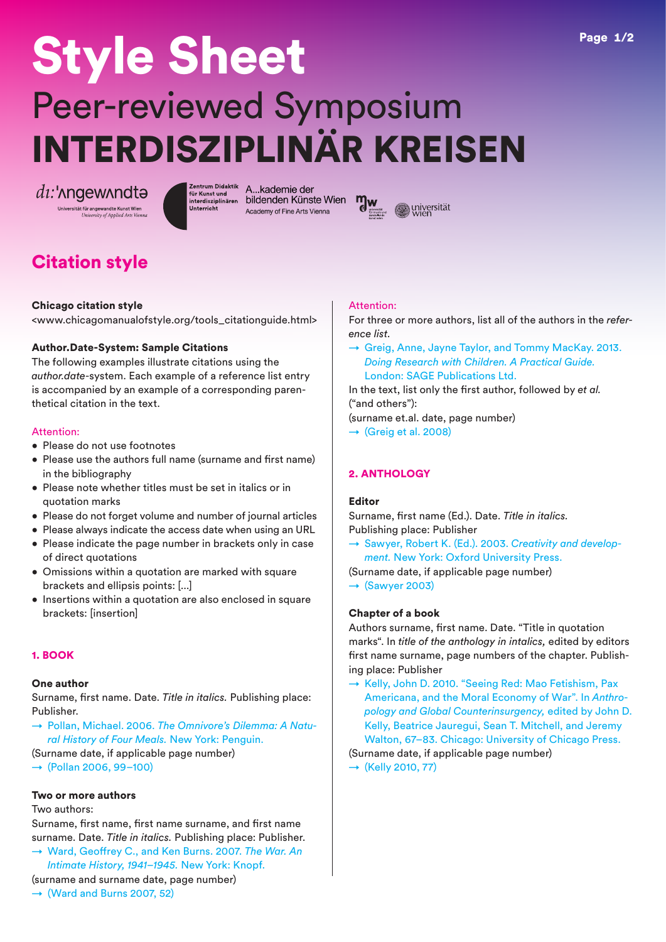# Style Sheet Peer-reviewed Symposium INTERDISZIPLINÄR KREISEN

 $di:$ ' $\Lambda$ ngew $\Lambda$ ndt $\Theta$ 

Unterricht

zentrum <sup>Didaktik</sup> A...Kademie der<br>für Kunst und interdisziplinären bi**ldenden Künste Wien** Academy of Fine Arts Vienna



# Citation style

# Chicago citation style

<www.chicagomanualofstyle.org/tools\_citationguide.html>

# Author.Date-System: Sample Citations

The following examples illustrate citations using the *author.date*-system. Each example of a reference list entry is accompanied by an example of a corresponding parenthetical citation in the text.

# Attention:

- Please do not use footnotes
- Please use the authors full name (surname and first name) in the bibliography
- Please note whether titles must be set in italics or in quotation marks
- Please do not forget volume and number of journal articles
- Please always indicate the access date when using an URL
- Please indicate the page number in brackets only in case of direct quotations
- Omissions within a quotation are marked with square brackets and ellipsis points: [...]
- Insertions within a quotation are also enclosed in square brackets: [insertion]

# 1. BOOK

#### One author

Surname, first name. Date. *Title in italics.* Publishing place: Publisher.

- → Pollan, Michael. 2006. *The Omnivore's Dilemma: A Natural History of Four Meals.* New York: Penguin.
- (Surname date, if applicable page number)
- $\rightarrow$  (Pollan 2006, 99–100)

# Two or more authors

Two authors:

Surname, first name, first name surname, and first name surname. Date. *Title in italics.* Publishing place: Publisher.

→ Ward, Geoffrey C., and Ken Burns. 2007. *The War. An Intimate History, 1941–1945.* New York: Knopf.

# (surname and surname date, page number)

 $\rightarrow$  (Ward and Burns 2007, 52)

# Attention:

For three or more authors, list all of the authors in the *reference list*.

→ Greig, Anne, Jayne Taylor, and Tommy MacKay. 2013. *Doing Research with Children. A Practical Guide.* London: SAGE Publications Ltd.

In the text, list only the first author, followed by *et al.* ("and others"):

(surname et.al. date, page number)

 $\rightarrow$  (Greig et al. 2008)

# 2. ANTHOLOGY

# Editor

Surname, first name (Ed.). Date. *Title in italics.* Publishing place: Publisher

- → Sawyer, Robert K. (Ed.). 2003. *Creativity and development.* New York: Oxford University Press.
- (Surname date, if applicable page number)

 $\rightarrow$  (Sawyer 2003)

# Chapter of a book

Authors surname, first name. Date. "Title in quotation marks". In *title of the anthology in intalics,* edited by editors first name surname, page numbers of the chapter. Publishing place: Publisher

→ Kelly, John D. 2010. "Seeing Red: Mao Fetishism, Pax Americana, and the Moral Economy of War". In *Anthropology and Global Counterinsurgency,* edited by John D. Kelly, Beatrice Jauregui, Sean T. Mitchell, and Jeremy Walton, 67–83. Chicago: University of Chicago Press.

(Surname date, if applicable page number)  $\rightarrow$  (Kelly 2010, 77)